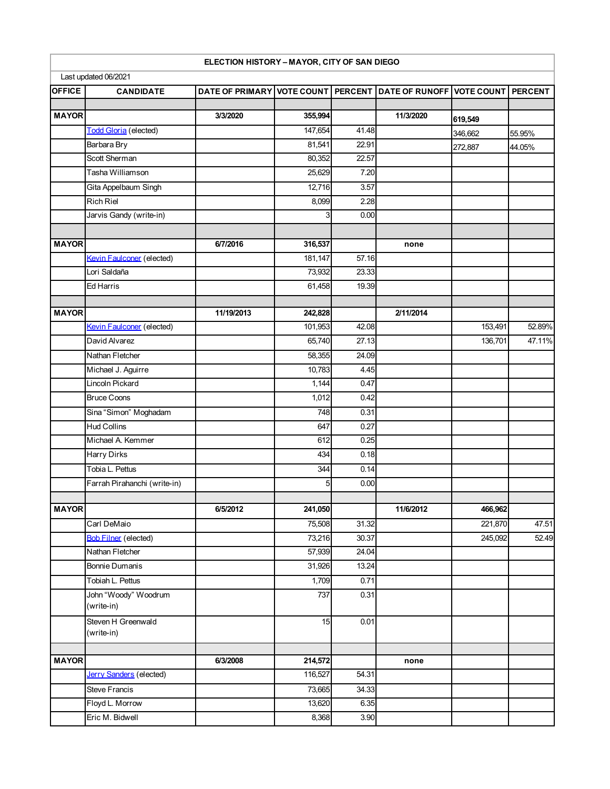|               |                                | ELECTION HISTORY - MAYOR, CITY OF SAN DIEGO                          |         |       |           |         |        |
|---------------|--------------------------------|----------------------------------------------------------------------|---------|-------|-----------|---------|--------|
|               | Last updated 06/2021           |                                                                      |         |       |           |         |        |
| <b>OFFICE</b> | <b>CANDIDATE</b>               | DATE OF PRIMARY VOTE COUNT PERCENT DATE OF RUNOFF VOTE COUNT PERCENT |         |       |           |         |        |
|               |                                |                                                                      |         |       |           |         |        |
| <b>MAYOR</b>  |                                | 3/3/2020                                                             | 355,994 |       | 11/3/2020 | 619,549 |        |
|               | <b>Todd Gloria</b> (elected)   |                                                                      | 147,654 | 41.48 |           | 346,662 | 55.95% |
|               | Barbara Bry                    |                                                                      | 81,541  | 22.91 |           | 272,887 | 44.05% |
|               | Scott Sherman                  |                                                                      | 80,352  | 22.57 |           |         |        |
|               | Tasha Williamson               |                                                                      | 25,629  | 7.20  |           |         |        |
|               | Gita Appelbaum Singh           |                                                                      | 12,716  | 3.57  |           |         |        |
|               | <b>Rich Riel</b>               |                                                                      | 8,099   | 2.28  |           |         |        |
|               | Jarvis Gandy (write-in)        |                                                                      | 3       | 0.00  |           |         |        |
|               |                                |                                                                      |         |       |           |         |        |
| <b>MAYOR</b>  |                                | 6/7/2016                                                             | 316,537 |       | none      |         |        |
|               | Kevin Faulconer (elected)      |                                                                      | 181,147 | 57.16 |           |         |        |
|               | Lori Saldaña                   |                                                                      | 73,932  | 23.33 |           |         |        |
|               | Ed Harris                      |                                                                      | 61,458  | 19.39 |           |         |        |
|               |                                |                                                                      |         |       |           |         |        |
| <b>MAYOR</b>  |                                | 11/19/2013                                                           | 242,828 |       | 2/11/2014 |         |        |
|               | Kevin Faulconer (elected)      |                                                                      | 101,953 | 42.08 |           | 153,491 | 52.89% |
|               | David Alvarez                  |                                                                      | 65,740  | 27.13 |           | 136,701 | 47.11% |
|               | Nathan Fletcher                |                                                                      | 58,355  | 24.09 |           |         |        |
|               | Michael J. Aguirre             |                                                                      | 10,783  | 4.45  |           |         |        |
|               | Lincoln Pickard                |                                                                      | 1,144   | 0.47  |           |         |        |
|               | <b>Bruce Coons</b>             |                                                                      | 1,012   | 0.42  |           |         |        |
|               | Sina "Simon" Moghadam          |                                                                      | 748     | 0.31  |           |         |        |
|               | Hud Collins                    |                                                                      | 647     | 0.27  |           |         |        |
|               | Michael A. Kemmer              |                                                                      | 612     | 0.25  |           |         |        |
|               | Harry Dirks                    |                                                                      | 434     | 0.18  |           |         |        |
|               | Tobia L. Pettus                |                                                                      | 344     | 0.14  |           |         |        |
|               | Farrah Pirahanchi (write-in)   |                                                                      | 5       | 0.00  |           |         |        |
|               |                                |                                                                      |         |       |           |         |        |
| <b>MAYOR</b>  |                                | 6/5/2012                                                             | 241,050 |       | 11/6/2012 | 466,962 |        |
|               | Carl DeMaio                    |                                                                      | 75,508  | 31.32 |           | 221,870 | 47.51  |
|               | <b>Bob Filner</b> (elected)    |                                                                      | 73,216  | 30.37 |           | 245,092 | 52.49  |
|               | Nathan Fletcher                |                                                                      | 57,939  | 24.04 |           |         |        |
|               | Bonnie Dumanis                 |                                                                      | 31,926  | 13.24 |           |         |        |
|               | Tobiah L. Pettus               |                                                                      | 1,709   | 0.71  |           |         |        |
|               | John "Woody" Woodrum           |                                                                      | 737     | 0.31  |           |         |        |
|               | (write-in)                     |                                                                      |         |       |           |         |        |
|               | Steven H Greenwald             |                                                                      | 15      | 0.01  |           |         |        |
|               | (write-in)                     |                                                                      |         |       |           |         |        |
|               |                                |                                                                      |         |       |           |         |        |
| <b>MAYOR</b>  |                                | 6/3/2008                                                             | 214,572 |       | none      |         |        |
|               | <b>Jerry Sanders (elected)</b> |                                                                      | 116,527 | 54.31 |           |         |        |
|               | <b>Steve Francis</b>           |                                                                      | 73,665  | 34.33 |           |         |        |
|               | Floyd L. Morrow                |                                                                      | 13,620  | 6.35  |           |         |        |
|               | Eric M. Bidwell                |                                                                      | 8,368   | 3.90  |           |         |        |

I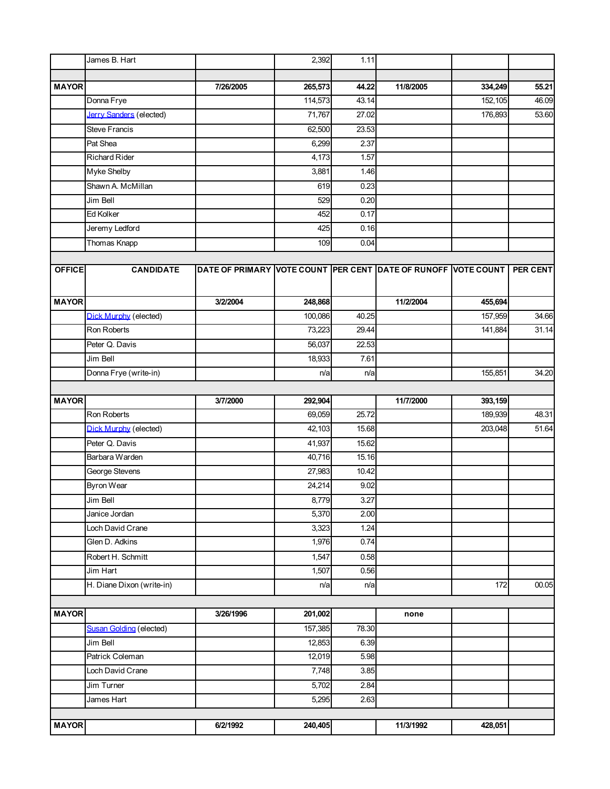|               | James B. Hart                  |                                                               | 2,392   | 1.11               |           |         |          |
|---------------|--------------------------------|---------------------------------------------------------------|---------|--------------------|-----------|---------|----------|
|               |                                |                                                               |         |                    |           |         |          |
| <b>MAYOR</b>  |                                | 7/26/2005                                                     | 265,573 | 44.22              | 11/8/2005 | 334,249 | 55.21    |
|               | Donna Frye                     |                                                               | 114,573 | 43.14              |           | 152,105 | 46.09    |
|               | <b>Jerry Sanders (elected)</b> |                                                               | 71,767  | 27.02              |           | 176,893 | 53.60    |
|               | <b>Steve Francis</b>           |                                                               | 62,500  | 23.53              |           |         |          |
|               | Pat Shea                       |                                                               | 6,299   | 2.37               |           |         |          |
|               | <b>Richard Rider</b>           |                                                               | 4,173   | 1.57               |           |         |          |
|               | Myke Shelby                    |                                                               | 3,881   | 1.46               |           |         |          |
|               | Shawn A. McMillan              |                                                               | 619     | 0.23               |           |         |          |
|               | Jim Bell                       |                                                               | 529     | 0.20               |           |         |          |
|               | Ed Kolker                      |                                                               | 452     | 0.17               |           |         |          |
|               | Jeremy Ledford                 |                                                               | 425     | 0.16               |           |         |          |
|               | Thomas Knapp                   |                                                               | 109     | 0.04               |           |         |          |
|               |                                |                                                               |         |                    |           |         |          |
| <b>OFFICE</b> | <b>CANDIDATE</b>               | DATE OF PRIMARY VOTE COUNT PER CENT DATE OF RUNOFF VOTE COUNT |         |                    |           |         | PER CENT |
|               |                                |                                                               |         |                    |           |         |          |
| <b>MAYOR</b>  |                                | 3/2/2004                                                      | 248,868 |                    | 11/2/2004 | 455,694 |          |
|               | <b>Dick Murphy (elected)</b>   |                                                               | 100,086 | 40.25              |           | 157,959 | 34.66    |
|               | Ron Roberts                    |                                                               | 73,223  | 29.44              |           | 141,884 | 31.14    |
|               | Peter Q. Davis                 |                                                               | 56,037  | 22.53              |           |         |          |
|               | Jim Bell                       |                                                               | 18,933  | 7.61               |           |         |          |
|               | Donna Frye (write-in)          |                                                               | n/a     | n/a                |           | 155,851 | 34.20    |
|               |                                |                                                               |         |                    |           |         |          |
| <b>MAYOR</b>  |                                | 3/7/2000                                                      | 292,904 |                    | 11/7/2000 | 393,159 |          |
|               | Ron Roberts                    |                                                               | 69,059  | 25.72              |           | 189,939 | 48.31    |
|               | <b>Dick Murphy (elected)</b>   |                                                               | 42,103  | 15.68              |           | 203,048 | 51.64    |
|               | Peter Q. Davis                 |                                                               | 41,937  | 15.62              |           |         |          |
|               | Barbara Warden                 |                                                               | 40,716  | $\overline{15.16}$ |           |         |          |
|               | George Stevens                 |                                                               | 27,983  | 10.42              |           |         |          |
|               | Byron Wear                     |                                                               | 24,214  | 9.02               |           |         |          |
|               | Jim Bell                       |                                                               | 8,779   | 3.27               |           |         |          |
|               | Janice Jordan                  |                                                               | 5,370   | 2.00               |           |         |          |
|               | Loch David Crane               |                                                               | 3,323   | 1.24               |           |         |          |
|               | Glen D. Adkins                 |                                                               | 1,976   | 0.74               |           |         |          |
|               | Robert H. Schmitt              |                                                               | 1,547   | 0.58               |           |         |          |
|               | Jim Hart                       |                                                               | 1,507   | 0.56               |           |         |          |
|               | H. Diane Dixon (write-in)      |                                                               | n/a     | n/a                |           | 172     | 00.05    |
|               |                                |                                                               |         |                    |           |         |          |
| <b>MAYOR</b>  |                                | 3/26/1996                                                     | 201,002 |                    | none      |         |          |
|               | Susan Golding (elected)        |                                                               | 157,385 | 78.30              |           |         |          |
|               | Jim Bell                       |                                                               | 12,853  | 6.39               |           |         |          |
|               | Patrick Coleman                |                                                               | 12,019  | 5.98               |           |         |          |
|               | Loch David Crane               |                                                               | 7,748   | 3.85               |           |         |          |
|               | Jim Turner                     |                                                               | 5,702   | 2.84               |           |         |          |
|               | James Hart                     |                                                               | 5,295   | 2.63               |           |         |          |
|               |                                |                                                               |         |                    |           |         |          |
| <b>MAYOR</b>  |                                | 6/2/1992                                                      | 240,405 |                    | 11/3/1992 | 428,051 |          |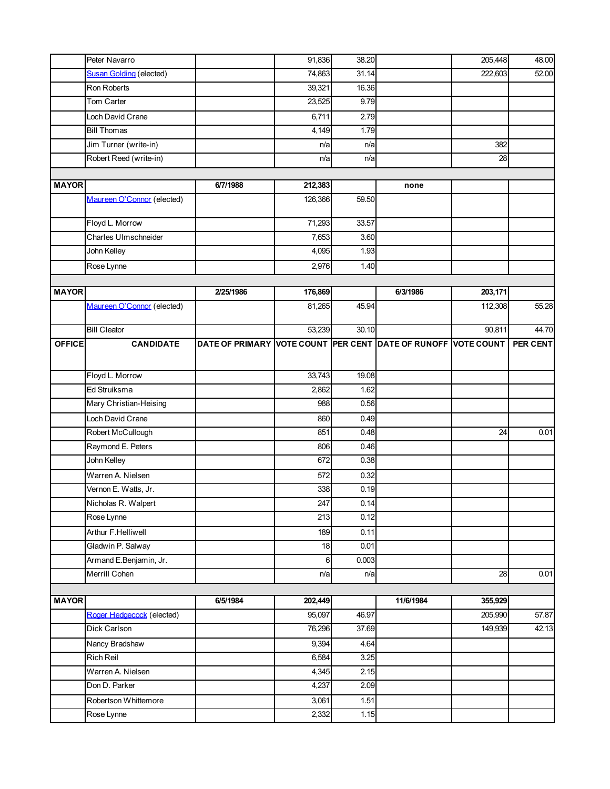|               | Peter Navarro                  |                                                               | 91,836  | 38.20 |           | 205,448 | 48.00           |
|---------------|--------------------------------|---------------------------------------------------------------|---------|-------|-----------|---------|-----------------|
|               | <b>Susan Golding (elected)</b> |                                                               | 74,863  | 31.14 |           | 222,603 | 52.00           |
|               | Ron Roberts                    |                                                               | 39,321  | 16.36 |           |         |                 |
|               | Tom Carter                     |                                                               | 23,525  | 9.79  |           |         |                 |
|               | Loch David Crane               |                                                               | 6,711   | 2.79  |           |         |                 |
|               | <b>Bill Thomas</b>             |                                                               | 4,149   | 1.79  |           |         |                 |
|               | Jim Turner (write-in)          |                                                               | n/a     | n/a   |           | 382     |                 |
|               | Robert Reed (write-in)         |                                                               | n/a     | n/a   |           | 28      |                 |
|               |                                |                                                               |         |       |           |         |                 |
| <b>MAYOR</b>  |                                | 6/7/1988                                                      | 212,383 |       | none      |         |                 |
|               | Maureen O'Connor (elected)     |                                                               | 126,366 | 59.50 |           |         |                 |
|               | Floyd L. Morrow                |                                                               | 71,293  | 33.57 |           |         |                 |
|               | Charles Ulmschneider           |                                                               | 7,653   | 3.60  |           |         |                 |
|               | John Kelley                    |                                                               | 4,095   | 1.93  |           |         |                 |
|               | Rose Lynne                     |                                                               | 2,976   | 1.40  |           |         |                 |
|               |                                |                                                               |         |       |           |         |                 |
| <b>MAYOR</b>  |                                | 2/25/1986                                                     | 176,869 |       | 6/3/1986  | 203,171 |                 |
|               | Maureen O'Connor (elected)     |                                                               | 81,265  | 45.94 |           | 112,308 | 55.28           |
|               | <b>Bill Cleator</b>            |                                                               | 53,239  | 30.10 |           | 90,811  | 44.70           |
| <b>OFFICE</b> | <b>CANDIDATE</b>               | DATE OF PRIMARY VOTE COUNT PER CENT DATE OF RUNOFF VOTE COUNT |         |       |           |         | <b>PER CENT</b> |
|               | Floyd L. Morrow                |                                                               | 33,743  | 19.08 |           |         |                 |
|               | Ed Struiksma                   |                                                               | 2,862   | 1.62  |           |         |                 |
|               | Mary Christian-Heising         |                                                               | 988     | 0.56  |           |         |                 |
|               | Loch David Crane               |                                                               | 860     | 0.49  |           |         |                 |
|               | Robert McCullough              |                                                               | 851     | 0.48  |           | 24      | 0.01            |
|               | Raymond E. Peters              |                                                               | 806     | 0.46  |           |         |                 |
|               | John Kelley                    |                                                               | 672     | 0.38  |           |         |                 |
|               | Warren A. Nielsen              |                                                               | 572     | 0.32  |           |         |                 |
|               | Vernon E. Watts, Jr.           |                                                               | 338     | 0.19  |           |         |                 |
|               | Nicholas R. Walpert            |                                                               | 247     | 0.14  |           |         |                 |
|               | Rose Lynne                     |                                                               | 213     | 0.12  |           |         |                 |
|               | Arthur F.Helliwell             |                                                               | 189     | 0.11  |           |         |                 |
|               | Gladwin P. Salway              |                                                               | 18      | 0.01  |           |         |                 |
|               | Armand E.Benjamin, Jr.         |                                                               | 6       | 0.003 |           |         |                 |
|               | Merrill Cohen                  |                                                               | n/a     | n/a   |           | 28      | 0.01            |
|               |                                |                                                               |         |       |           |         |                 |
| <b>MAYOR</b>  |                                | 6/5/1984                                                      | 202,449 |       | 11/6/1984 | 355,929 |                 |
|               | Roger Hedgecock (elected)      |                                                               | 95,097  | 46.97 |           | 205,990 | 57.87           |
|               | Dick Carlson                   |                                                               | 76,296  | 37.69 |           | 149,939 | 42.13           |
|               | Nancy Bradshaw                 |                                                               | 9,394   | 4.64  |           |         |                 |
|               | Rich Reil                      |                                                               | 6,584   | 3.25  |           |         |                 |
|               | Warren A. Nielsen              |                                                               | 4,345   | 2.15  |           |         |                 |
|               | Don D. Parker                  |                                                               | 4,237   | 2.09  |           |         |                 |
|               | Robertson Whittemore           |                                                               | 3,061   | 1.51  |           |         |                 |
|               | Rose Lynne                     |                                                               | 2,332   | 1.15  |           |         |                 |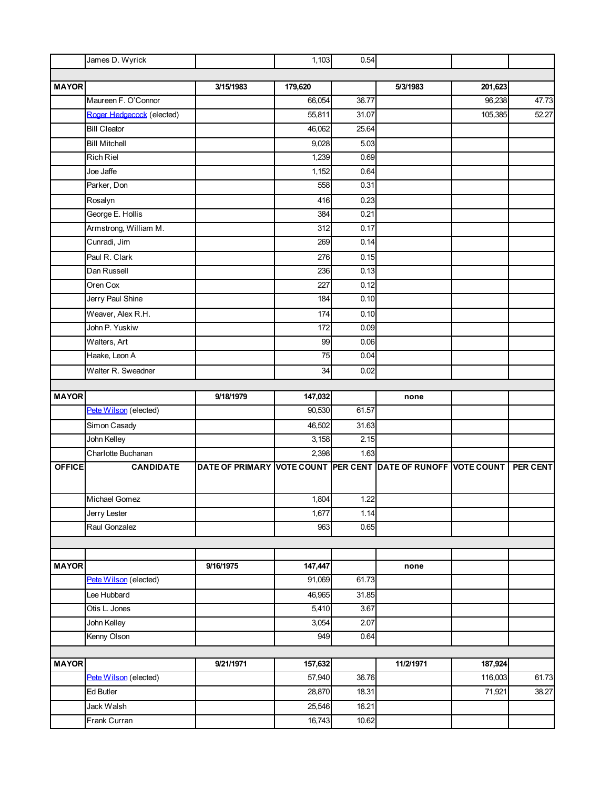|               | James D. Wyrick           |                                                               | 1,103   | 0.54  |           |         |                 |
|---------------|---------------------------|---------------------------------------------------------------|---------|-------|-----------|---------|-----------------|
|               |                           |                                                               |         |       |           |         |                 |
| <b>MAYOR</b>  |                           | 3/15/1983                                                     | 179,620 |       | 5/3/1983  | 201,623 |                 |
|               | Maureen F. O'Connor       |                                                               | 66,054  | 36.77 |           | 96,238  | 47.73           |
|               | Roger Hedgecock (elected) |                                                               | 55,811  | 31.07 |           | 105,385 | 52.27           |
|               | <b>Bill Cleator</b>       |                                                               | 46,062  | 25.64 |           |         |                 |
|               | <b>Bill Mitchell</b>      |                                                               | 9,028   | 5.03  |           |         |                 |
|               | <b>Rich Riel</b>          |                                                               | 1,239   | 0.69  |           |         |                 |
|               | Joe Jaffe                 |                                                               | 1,152   | 0.64  |           |         |                 |
|               | Parker, Don               |                                                               | 558     | 0.31  |           |         |                 |
|               | Rosalyn                   |                                                               | 416     | 0.23  |           |         |                 |
|               | George E. Hollis          |                                                               | 384     | 0.21  |           |         |                 |
|               | Armstrong, William M.     |                                                               | 312     | 0.17  |           |         |                 |
|               | Cunradi, Jim              |                                                               | 269     | 0.14  |           |         |                 |
|               | Paul R. Clark             |                                                               | 276     | 0.15  |           |         |                 |
|               | Dan Russell               |                                                               | 236     | 0.13  |           |         |                 |
|               | Oren Cox                  |                                                               | 227     | 0.12  |           |         |                 |
|               | Jerry Paul Shine          |                                                               | 184     | 0.10  |           |         |                 |
|               | Weaver, Alex R.H.         |                                                               | 174     | 0.10  |           |         |                 |
|               | John P. Yuskiw            |                                                               | 172     | 0.09  |           |         |                 |
|               | Walters, Art              |                                                               | 99      | 0.06  |           |         |                 |
|               | Haake, Leon A             |                                                               | 75      | 0.04  |           |         |                 |
|               | Walter R. Sweadner        |                                                               | 34      | 0.02  |           |         |                 |
|               |                           |                                                               |         |       |           |         |                 |
| <b>MAYOR</b>  |                           | 9/18/1979                                                     | 147,032 |       | none      |         |                 |
|               | Pete Wilson (elected)     |                                                               | 90,530  | 61.57 |           |         |                 |
|               | Simon Casady              |                                                               | 46,502  | 31.63 |           |         |                 |
|               | John Kelley               |                                                               | 3,158   | 2.15  |           |         |                 |
|               | Charlotte Buchanan        |                                                               | 2,398   | 1.63  |           |         |                 |
| <b>OFFICE</b> | <b>CANDIDATE</b>          | DATE OF PRIMARY VOTE COUNT PER CENT DATE OF RUNOFF VOTE COUNT |         |       |           |         | <b>PER CENT</b> |
|               |                           |                                                               |         |       |           |         |                 |
|               | Michael Gomez             |                                                               | 1,804   | 1.22  |           |         |                 |
|               | Jerry Lester              |                                                               | 1,677   | 1.14  |           |         |                 |
|               | Raul Gonzalez             |                                                               | 963     | 0.65  |           |         |                 |
|               |                           |                                                               |         |       |           |         |                 |
|               |                           |                                                               |         |       |           |         |                 |
| <b>MAYOR</b>  |                           | 9/16/1975                                                     | 147,447 |       | none      |         |                 |
|               | Pete Wilson (elected)     |                                                               | 91,069  | 61.73 |           |         |                 |
|               | Lee Hubbard               |                                                               | 46,965  | 31.85 |           |         |                 |
|               | Otis L. Jones             |                                                               | 5,410   | 3.67  |           |         |                 |
|               | John Kelley               |                                                               | 3,054   | 2.07  |           |         |                 |
|               | Kenny Olson               |                                                               | 949     | 0.64  |           |         |                 |
|               |                           |                                                               |         |       |           |         |                 |
| <b>MAYOR</b>  |                           | 9/21/1971                                                     | 157,632 |       | 11/2/1971 | 187,924 |                 |
|               | Pete Wilson (elected)     |                                                               | 57,940  | 36.76 |           | 116,003 | 61.73           |
|               | <b>Ed Butler</b>          |                                                               | 28,870  | 18.31 |           | 71,921  | 38.27           |
|               | Jack Walsh                |                                                               | 25,546  | 16.21 |           |         |                 |
|               | Frank Curran              |                                                               | 16,743  | 10.62 |           |         |                 |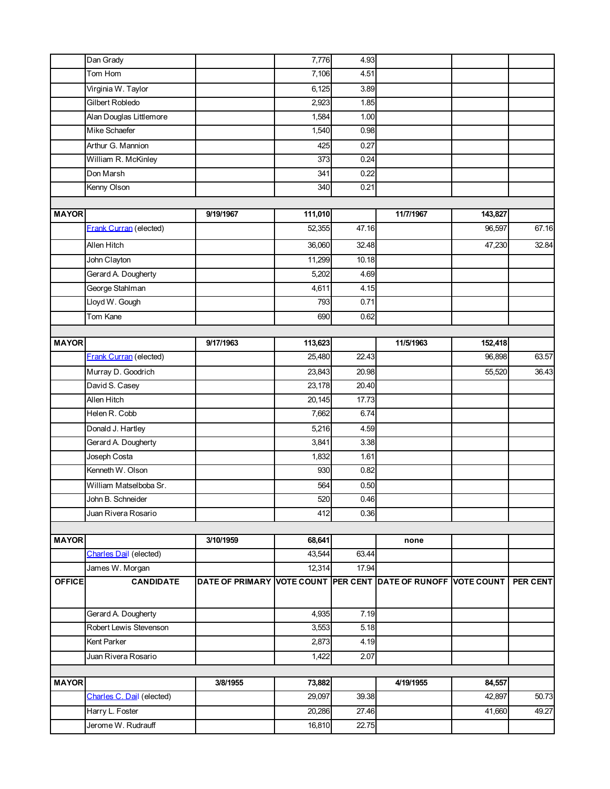|               | Dan Grady                     |                                                               | 7,776            | 4.93  |           |                  |          |
|---------------|-------------------------------|---------------------------------------------------------------|------------------|-------|-----------|------------------|----------|
|               | Tom Hom                       |                                                               | 7,106            | 4.51  |           |                  |          |
|               | Virginia W. Taylor            |                                                               | 6,125            | 3.89  |           |                  |          |
|               | <b>Gilbert Robledo</b>        |                                                               | 2,923            | 1.85  |           |                  |          |
|               | Alan Douglas Littlemore       |                                                               | 1,584            | 1.00  |           |                  |          |
|               | Mike Schaefer                 |                                                               | 1,540            | 0.98  |           |                  |          |
|               | Arthur G. Mannion             |                                                               | 425              | 0.27  |           |                  |          |
|               | William R. McKinley           |                                                               | 373              | 0.24  |           |                  |          |
|               | Don Marsh                     |                                                               | 341              | 0.22  |           |                  |          |
|               | Kenny Olson                   |                                                               | 340              | 0.21  |           |                  |          |
|               |                               |                                                               |                  |       |           |                  |          |
| <b>MAYOR</b>  |                               | 9/19/1967                                                     | 111,010          |       | 11/7/1967 | 143,827          |          |
|               | <b>Frank Curran (elected)</b> |                                                               | 52,355           | 47.16 |           | 96,597           | 67.16    |
|               | Allen Hitch                   |                                                               | 36,060           | 32.48 |           | 47,230           | 32.84    |
|               | John Clayton                  |                                                               | 11,299           | 10.18 |           |                  |          |
|               | Gerard A. Dougherty           |                                                               | 5,202            | 4.69  |           |                  |          |
|               | George Stahlman               |                                                               | 4,611            | 4.15  |           |                  |          |
|               | Lloyd W. Gough                |                                                               | 793              | 0.71  |           |                  |          |
|               | Tom Kane                      |                                                               | 690              | 0.62  |           |                  |          |
|               |                               |                                                               |                  |       |           |                  |          |
| <b>MAYOR</b>  |                               | 9/17/1963                                                     | 113,623          |       | 11/5/1963 | 152,418          |          |
|               | <b>Frank Curran</b> (elected) |                                                               | 25,480           | 22.43 |           | 96,898           | 63.57    |
|               | Murray D. Goodrich            |                                                               | 23,843           | 20.98 |           | 55,520           | 36.43    |
|               | David S. Casey                |                                                               | 23,178           | 20.40 |           |                  |          |
|               | Allen Hitch                   |                                                               | 20,145           | 17.73 |           |                  |          |
|               | Helen R. Cobb                 |                                                               | 7,662            | 6.74  |           |                  |          |
|               | Donald J. Hartley             |                                                               | 5,216            | 4.59  |           |                  |          |
|               | Gerard A. Dougherty           |                                                               | 3,841            | 3.38  |           |                  |          |
|               | Joseph Costa                  |                                                               | 1,832            | 1.61  |           |                  |          |
|               | Kenneth W. Olson              |                                                               | 930              | 0.82  |           |                  |          |
|               | William Matselboba Sr.        |                                                               | 564              | 0.50  |           |                  |          |
|               | John B. Schneider             |                                                               | 520              | 0.46  |           |                  |          |
|               | Juan Rivera Rosario           |                                                               | 412              | 0.36  |           |                  |          |
|               |                               |                                                               |                  |       |           |                  |          |
| <b>MAYOR</b>  |                               | 3/10/1959                                                     | 68,641           |       | none      |                  |          |
|               | <b>Charles Dail</b> (elected) |                                                               | 43,544           | 63.44 |           |                  |          |
|               | James W. Morgan               |                                                               | 12,314           | 17.94 |           |                  |          |
| <b>OFFICE</b> | <b>CANDIDATE</b>              | DATE OF PRIMARY VOTE COUNT PER CENT DATE OF RUNOFF VOTE COUNT |                  |       |           |                  | PER CENT |
|               |                               |                                                               |                  |       |           |                  |          |
|               | Gerard A. Dougherty           |                                                               | 4,935            | 7.19  |           |                  |          |
|               | Robert Lewis Stevenson        |                                                               | 3,553            | 5.18  |           |                  |          |
|               | Kent Parker                   |                                                               | 2,873            | 4.19  |           |                  |          |
|               | Juan Rivera Rosario           |                                                               | 1,422            | 2.07  |           |                  |          |
| <b>MAYOR</b>  |                               |                                                               |                  |       |           |                  |          |
|               | Charles C. Dail (elected)     | 3/8/1955                                                      | 73,882<br>29,097 | 39.38 | 4/19/1955 | 84,557<br>42,897 | 50.73    |
|               |                               |                                                               |                  |       |           |                  |          |
|               | Harry L. Foster               |                                                               | 20,286           | 27.46 |           | 41,660           | 49.27    |
|               | Jerome W. Rudrauff            |                                                               | 16,810           | 22.75 |           |                  |          |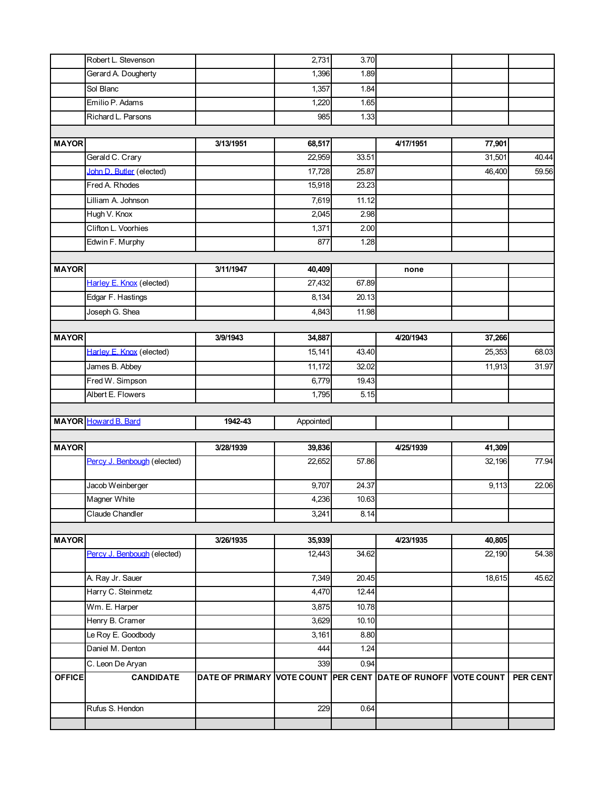|               | Robert L. Stevenson         |                                                               | 2,731     | 3.70  |           |        |                    |
|---------------|-----------------------------|---------------------------------------------------------------|-----------|-------|-----------|--------|--------------------|
|               | Gerard A. Dougherty         |                                                               | 1,396     | 1.89  |           |        |                    |
|               | Sol Blanc                   |                                                               | 1,357     | 1.84  |           |        |                    |
|               | Emilio P. Adams             |                                                               | 1,220     | 1.65  |           |        |                    |
|               | Richard L. Parsons          |                                                               | 985       | 1.33  |           |        |                    |
|               |                             |                                                               |           |       |           |        |                    |
| <b>MAYOR</b>  |                             | 3/13/1951                                                     | 68,517    |       | 4/17/1951 | 77,901 |                    |
|               | Gerald C. Crary             |                                                               | 22,959    | 33.51 |           | 31,501 | 40.44              |
|               | John D. Butler (elected)    |                                                               | 17,728    | 25.87 |           | 46,400 | 59.56              |
|               | Fred A. Rhodes              |                                                               | 15,918    | 23.23 |           |        |                    |
|               | Lilliam A. Johnson          |                                                               | 7,619     | 11.12 |           |        |                    |
|               | Hugh V. Knox                |                                                               | 2,045     | 2.98  |           |        |                    |
|               | Clifton L. Voorhies         |                                                               | 1,371     | 2.00  |           |        |                    |
|               | Edwin F. Murphy             |                                                               | 877       | 1.28  |           |        |                    |
|               |                             |                                                               |           |       |           |        |                    |
| <b>MAYOR</b>  |                             | 3/11/1947                                                     | 40,409    |       | none      |        |                    |
|               | Harley E. Knox (elected)    |                                                               | 27,432    | 67.89 |           |        |                    |
|               | Edgar F. Hastings           |                                                               | 8,134     | 20.13 |           |        |                    |
|               | Joseph G. Shea              |                                                               | 4,843     | 11.98 |           |        |                    |
| <b>MAYOR</b>  |                             | 3/9/1943                                                      | 34,887    |       | 4/20/1943 | 37,266 |                    |
|               | Harley E. Knox (elected)    |                                                               | 15,141    | 43.40 |           | 25,353 | 68.03              |
|               | James B. Abbey              |                                                               | 11,172    | 32.02 |           | 11,913 | 31.97              |
|               | Fred W. Simpson             |                                                               | 6,779     | 19.43 |           |        |                    |
|               | Albert E. Flowers           |                                                               | 1,795     | 5.15  |           |        |                    |
|               |                             |                                                               |           |       |           |        |                    |
|               | <b>MAYOR</b> Howard B. Bard | 1942-43                                                       | Appointed |       |           |        |                    |
|               |                             |                                                               |           |       |           |        |                    |
| <b>MAYOR</b>  |                             | 3/28/1939                                                     | 39,836    |       | 4/25/1939 | 41,309 |                    |
|               | Percy J. Benbough (elected) |                                                               | 22,652    | 57.86 |           | 32,196 | 77.94              |
|               | Jacob Weinberger            |                                                               | 9,707     | 24.37 |           | 9,113  | $\overline{22.06}$ |
|               | Magner White                |                                                               | 4,236     | 10.63 |           |        |                    |
|               | Claude Chandler             |                                                               | 3,241     | 8.14  |           |        |                    |
|               |                             |                                                               |           |       |           |        |                    |
| <b>MAYOR</b>  |                             | 3/26/1935                                                     | 35,939    |       | 4/23/1935 | 40,805 |                    |
|               | Percy J. Benbough (elected) |                                                               | 12,443    | 34.62 |           | 22,190 | 54.38              |
|               | A. Ray Jr. Sauer            |                                                               | 7,349     | 20.45 |           | 18,615 | 45.62              |
|               | Harry C. Steinmetz          |                                                               | 4,470     | 12.44 |           |        |                    |
|               | Wm. E. Harper               |                                                               | 3,875     | 10.78 |           |        |                    |
|               | Henry B. Cramer             |                                                               | 3,629     | 10.10 |           |        |                    |
|               | Le Roy E. Goodbody          |                                                               | 3,161     | 8.80  |           |        |                    |
|               | Daniel M. Denton            |                                                               | 444       | 1.24  |           |        |                    |
|               | C. Leon De Aryan            |                                                               | 339       | 0.94  |           |        |                    |
| <b>OFFICE</b> | <b>CANDIDATE</b>            | DATE OF PRIMARY VOTE COUNT PER CENT DATE OF RUNOFF VOTE COUNT |           |       |           |        | PER CENT           |
|               | Rufus S. Hendon             |                                                               | 229       | 0.64  |           |        |                    |
|               |                             |                                                               |           |       |           |        |                    |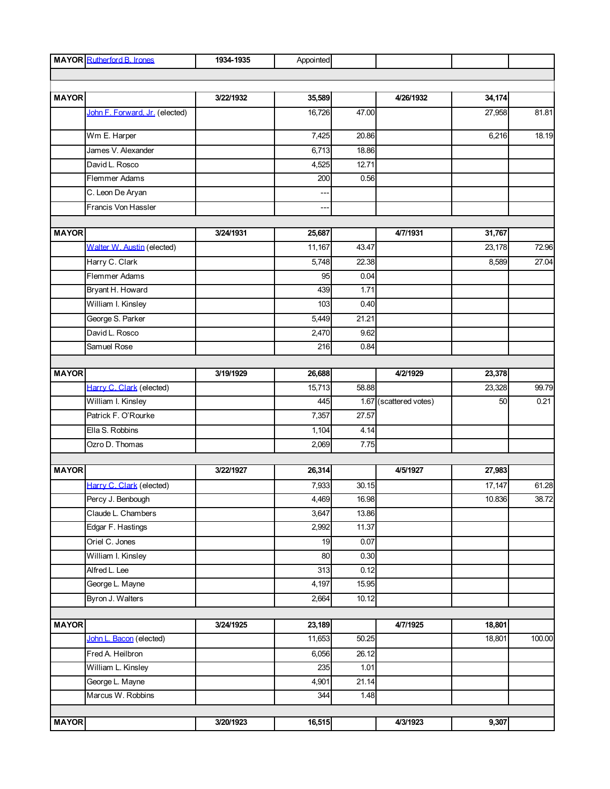|              | <b>MAYOR</b> Rutherford B. Irones | 1934-1935 | Appointed      |                   |                        |        |        |
|--------------|-----------------------------------|-----------|----------------|-------------------|------------------------|--------|--------|
|              |                                   |           |                |                   |                        |        |        |
|              |                                   |           |                |                   |                        |        |        |
| <b>MAYOR</b> |                                   | 3/22/1932 | 35,589         |                   | 4/26/1932              | 34,174 |        |
|              | John F. Forward. Jr. (elected)    |           | 16,726         | 47.00             |                        | 27,958 | 81.81  |
|              | Wm E. Harper                      |           | 7,425          | 20.86             |                        | 6,216  | 18.19  |
|              | James V. Alexander                |           | 6,713          | 18.86             |                        |        |        |
|              | David L. Rosco                    |           | 4,525          | 12.71             |                        |        |        |
|              | Flemmer Adams                     |           | 200            | 0.56              |                        |        |        |
|              | C. Leon De Aryan                  |           |                |                   |                        |        |        |
|              | Francis Von Hassler               |           | $\overline{a}$ |                   |                        |        |        |
| <b>MAYOR</b> |                                   | 3/24/1931 | 25,687         |                   | 4/7/1931               | 31,767 |        |
|              | Walter W. Austin (elected)        |           | 11,167         | 43.47             |                        | 23,178 | 72.96  |
|              | Harry C. Clark                    |           | 5,748          | 22.38             |                        | 8,589  | 27.04  |
|              | Flemmer Adams                     |           | 95             | 0.04              |                        |        |        |
|              | Bryant H. Howard                  |           | 439            | 1.71              |                        |        |        |
|              | William I. Kinsley                |           | 103            | 0.40              |                        |        |        |
|              | George S. Parker                  |           | 5,449          | 21.21             |                        |        |        |
|              | David L. Rosco                    |           | 2,470          | 9.62              |                        |        |        |
|              | Samuel Rose                       |           | 216            | 0.84              |                        |        |        |
|              |                                   |           |                |                   |                        |        |        |
| <b>MAYOR</b> |                                   | 3/19/1929 | 26,688         |                   | 4/2/1929               | 23,378 |        |
|              | Harry C. Clark (elected)          |           | 15,713         | 58.88             |                        | 23,328 | 99.79  |
|              | William I. Kinsley                |           | 445            |                   | 1.67 (scattered votes) | 50     | 0.21   |
|              | Patrick F. O'Rourke               |           | 7,357          | 27.57             |                        |        |        |
|              | Ella S. Robbins                   |           | 1,104          | 4.14              |                        |        |        |
|              | Ozro D. Thomas                    |           | 2,069          | 7.75              |                        |        |        |
|              |                                   |           |                |                   |                        |        |        |
| <b>MAYOR</b> |                                   | 3/22/1927 | 26,314         |                   | 4/5/1927               | 27,983 |        |
|              | Harry C. Clark (elected)          |           | 7,933          | 30.15             |                        | 17,147 | 61.28  |
|              | Percy J. Benbough                 |           | 4,469          | 16.98             |                        | 10.836 | 38.72  |
|              | Claude L. Chambers                |           | 3,647          | 13.86             |                        |        |        |
|              | Edgar F. Hastings                 |           | 2,992          | 11.37             |                        |        |        |
|              | Oriel C. Jones                    |           | 19             | 0.07              |                        |        |        |
|              | William I. Kinsley                |           | 80             | 0.30              |                        |        |        |
|              | Alfred L. Lee                     |           | 313            | 0.12              |                        |        |        |
|              | George L. Mayne                   |           | 4,197          | 15.95             |                        |        |        |
|              | Byron J. Walters                  |           | 2,664          | 10.12             |                        |        |        |
| <b>MAYOR</b> |                                   | 3/24/1925 | 23,189         |                   | 4/7/1925               | 18,801 |        |
|              | John L. Bacon (elected)           |           | 11,653         | 50.25             |                        | 18,801 | 100.00 |
|              | Fred A. Heilbron                  |           | 6,056          | 26.12             |                        |        |        |
|              | William L. Kinsley                |           |                |                   |                        |        |        |
|              | George L. Mayne                   |           | 235<br>4,901   | 1.01<br>21.14     |                        |        |        |
|              | Marcus W. Robbins                 |           | 344            | $\overline{1.48}$ |                        |        |        |
|              |                                   |           |                |                   |                        |        |        |
| <b>MAYOR</b> |                                   | 3/20/1923 | 16,515         |                   | 4/3/1923               | 9,307  |        |
|              |                                   |           |                |                   |                        |        |        |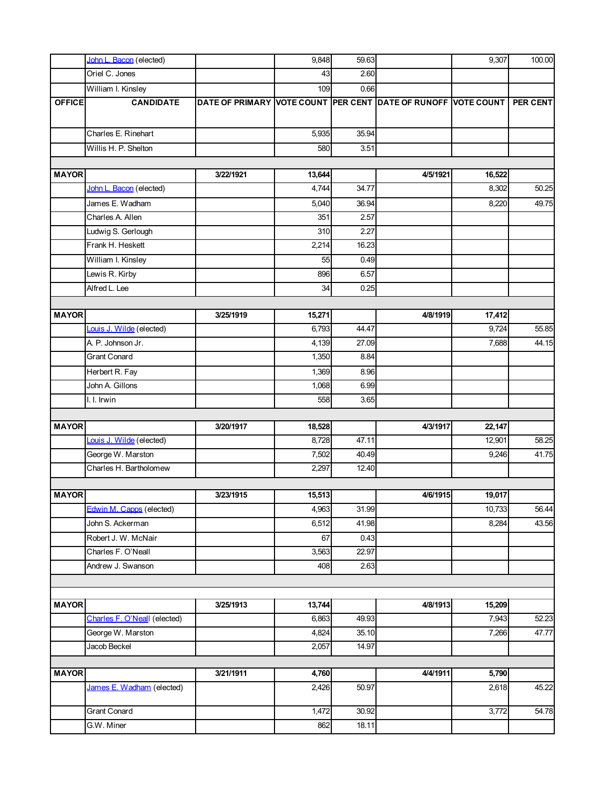|               | John L. Bacon (elected)                   |                                                               | 9,848       | 59.63         |          | 9,307  | 100.00             |
|---------------|-------------------------------------------|---------------------------------------------------------------|-------------|---------------|----------|--------|--------------------|
|               | Oriel C. Jones                            |                                                               | 43          | 2.60          |          |        |                    |
|               | William I. Kinsley                        |                                                               | 109         | 0.66          |          |        |                    |
| <b>OFFICE</b> | <b>CANDIDATE</b>                          | DATE OF PRIMARY VOTE COUNT PER CENT DATE OF RUNOFF VOTE COUNT |             |               |          |        | PER CENT           |
|               | Charles E. Rinehart                       |                                                               | 5,935       | 35.94         |          |        |                    |
|               | Willis H. P. Shelton                      |                                                               | 580         | 3.51          |          |        |                    |
|               |                                           |                                                               |             |               |          |        |                    |
| <b>MAYOR</b>  |                                           | 3/22/1921                                                     | 13,644      |               | 4/5/1921 | 16,522 |                    |
|               | John L. Bacon (elected)                   |                                                               | 4,744       | 34.77         |          | 8,302  | 50.25              |
|               | James E. Wadham                           |                                                               | 5,040       | 36.94         |          | 8,220  | 49.75              |
|               | Charles A. Allen                          |                                                               | 351         | 2.57          |          |        |                    |
|               | Ludwig S. Gerlough                        |                                                               | 310         | 2.27          |          |        |                    |
|               | Frank H. Heskett                          |                                                               | 2,214       | 16.23         |          |        |                    |
|               | William I. Kinsley                        |                                                               | 55          | 0.49          |          |        |                    |
|               | Lewis R. Kirby                            |                                                               | 896         | 6.57          |          |        |                    |
|               | Alfred L. Lee                             |                                                               | 34          | 0.25          |          |        |                    |
|               |                                           |                                                               |             |               |          |        |                    |
| <b>MAYOR</b>  |                                           | 3/25/1919                                                     | 15,271      |               | 4/8/1919 | 17,412 |                    |
|               | Louis J. Wilde (elected)                  |                                                               | 6,793       | 44.47         |          | 9,724  | 55.85              |
|               | A. P. Johnson Jr.                         |                                                               | 4,139       | 27.09         |          | 7,688  | 44.15              |
|               | <b>Grant Conard</b>                       |                                                               | 1,350       | 8.84          |          |        |                    |
|               | Herbert R. Fay                            |                                                               | 1,369       | 8.96          |          |        |                    |
|               | John A. Gillons                           |                                                               | 1,068       | 6.99          |          |        |                    |
|               | I. I. Irwin                               |                                                               | 558         | 3.65          |          |        |                    |
|               |                                           |                                                               |             |               |          |        |                    |
| <b>MAYOR</b>  |                                           | 3/20/1917                                                     | 18,528      |               | 4/3/1917 | 22,147 |                    |
|               | Louis J. Wilde (elected)                  |                                                               | 8,728       | 47.11         |          | 12,901 | $\overline{58.25}$ |
|               | George W. Marston                         |                                                               | 7,502       | 40.49         |          | 9,246  | 41.75              |
|               | Charles H. Bartholomew                    |                                                               | 2,297       | 12.40         |          |        |                    |
| <b>MAYOR</b>  |                                           | 3/23/1915                                                     | 15,513      |               | 4/6/1915 | 19,017 |                    |
|               | Edwin M. Capps (elected)                  |                                                               | 4,963       | 31.99         |          | 10,733 | 56.44              |
|               | John S. Ackerman                          |                                                               | 6,512       | 41.98         |          | 8,284  | 43.56              |
|               |                                           |                                                               |             |               |          |        |                    |
|               | Robert J. W. McNair<br>Charles F. O'Neall |                                                               | 67<br>3,563 | 0.43<br>22.97 |          |        |                    |
|               | Andrew J. Swanson                         |                                                               | 408         | 2.63          |          |        |                    |
|               |                                           |                                                               |             |               |          |        |                    |
|               |                                           |                                                               |             |               |          |        |                    |
| <b>MAYOR</b>  |                                           | 3/25/1913                                                     | 13,744      |               | 4/8/1913 | 15,209 |                    |
|               | Charles F. O'Neall (elected)              |                                                               | 6,863       | 49.93         |          | 7,943  | 52.23              |
|               | George W. Marston                         |                                                               | 4,824       | 35.10         |          | 7,266  | 47.77              |
|               | Jacob Beckel                              |                                                               | 2,057       | 14.97         |          |        |                    |
|               |                                           |                                                               |             |               |          |        |                    |
| <b>MAYOR</b>  |                                           | 3/21/1911                                                     | 4,760       |               | 4/4/1911 | 5,790  |                    |
|               | James E. Wadham (elected)                 |                                                               | 2,426       | 50.97         |          | 2,618  | 45.22              |
|               | Grant Conard                              |                                                               | 1,472       | 30.92         |          | 3,772  | 54.78              |
|               | G.W. Miner                                |                                                               | 862         | 18.11         |          |        |                    |
|               |                                           |                                                               |             |               |          |        |                    |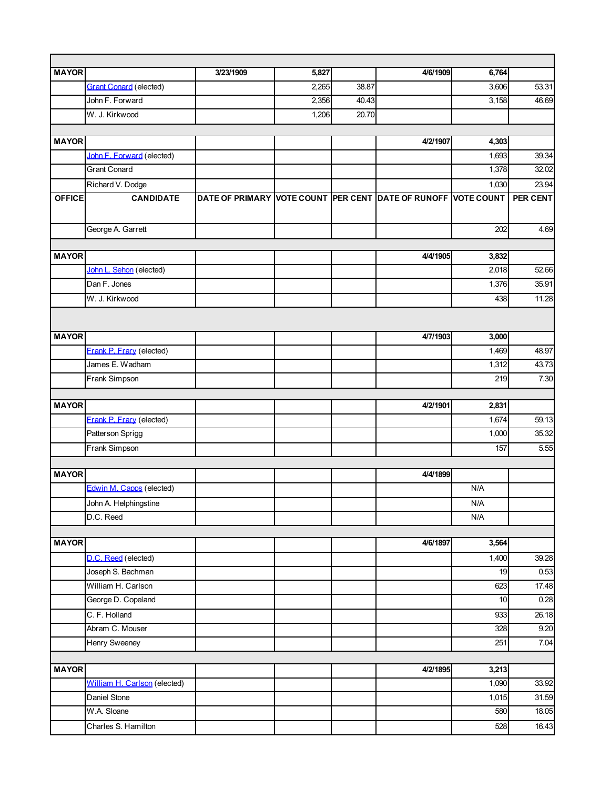| <b>MAYOR</b>  |                               | 3/23/1909                                                     | 5,827 |       | 4/6/1909 | 6,764                   |          |
|---------------|-------------------------------|---------------------------------------------------------------|-------|-------|----------|-------------------------|----------|
|               | <b>Grant Conard (elected)</b> |                                                               | 2,265 | 38.87 |          | 3,606                   | 53.31    |
|               | John F. Forward               |                                                               | 2,356 | 40.43 |          | 3,158                   | 46.69    |
|               | W. J. Kirkwood                |                                                               | 1,206 | 20.70 |          |                         |          |
|               |                               |                                                               |       |       |          |                         |          |
| <b>MAYOR</b>  |                               |                                                               |       |       | 4/2/1907 | 4,303                   |          |
|               | John F. Forward (elected)     |                                                               |       |       |          | 1,693                   | 39.34    |
|               | <b>Grant Conard</b>           |                                                               |       |       |          | 1,378                   | 32.02    |
|               | Richard V. Dodge              |                                                               |       |       |          | 1,030                   | 23.94    |
| <b>OFFICE</b> | <b>CANDIDATE</b>              | DATE OF PRIMARY VOTE COUNT PER CENT DATE OF RUNOFF VOTE COUNT |       |       |          |                         | PER CENT |
|               |                               |                                                               |       |       |          |                         |          |
|               | George A. Garrett             |                                                               |       |       |          | 202                     | 4.69     |
|               |                               |                                                               |       |       |          |                         |          |
| <b>MAYOR</b>  |                               |                                                               |       |       | 4/4/1905 | 3,832                   |          |
|               | John L. Sehon (elected)       |                                                               |       |       |          | 2,018                   | 52.66    |
|               | Dan F. Jones                  |                                                               |       |       |          | 1,376                   | 35.91    |
|               | W. J. Kirkwood                |                                                               |       |       |          | 438                     | 11.28    |
|               |                               |                                                               |       |       |          |                         |          |
| <b>MAYOR</b>  |                               |                                                               |       |       | 4/7/1903 | 3,000                   |          |
|               | Frank P. Frary (elected)      |                                                               |       |       |          | 1,469                   | 48.97    |
|               | James E. Wadham               |                                                               |       |       |          | 1,312                   | 43.73    |
|               | Frank Simpson                 |                                                               |       |       |          | 219                     | 7.30     |
|               |                               |                                                               |       |       |          |                         |          |
| <b>MAYOR</b>  |                               |                                                               |       |       | 4/2/1901 | 2,831                   |          |
|               | Frank P. Frary (elected)      |                                                               |       |       |          | 1,674                   | 59.13    |
|               | Patterson Sprigg              |                                                               |       |       |          | 1,000                   | 35.32    |
|               | Frank Simpson                 |                                                               |       |       |          | 157                     | 5.55     |
|               |                               |                                                               |       |       |          |                         |          |
| <b>MAYOR</b>  |                               |                                                               |       |       | 4/4/1899 |                         |          |
|               | Edwin M. Capps (elected)      |                                                               |       |       |          | N/A                     |          |
|               | John A. Helphingstine         |                                                               |       |       |          | $\mathsf{N}/\mathsf{A}$ |          |
|               | D.C. Reed                     |                                                               |       |       |          | N/A                     |          |
|               |                               |                                                               |       |       |          |                         |          |
| <b>MAYOR</b>  |                               |                                                               |       |       | 4/6/1897 | 3,564                   |          |
|               | D.C. Reed (elected)           |                                                               |       |       |          | 1,400                   | 39.28    |
|               | Joseph S. Bachman             |                                                               |       |       |          | 19                      | 0.53     |
|               | William H. Carlson            |                                                               |       |       |          | 623                     | 17.48    |
|               | George D. Copeland            |                                                               |       |       |          | 10                      | 0.28     |
|               | C.F. Holland                  |                                                               |       |       |          | 933                     | 26.18    |
|               | Abram C. Mouser               |                                                               |       |       |          | 328                     | 9.20     |
|               | Henry Sweeney                 |                                                               |       |       |          | 251                     | 7.04     |
|               |                               |                                                               |       |       |          |                         |          |
| <b>MAYOR</b>  |                               |                                                               |       |       | 4/2/1895 | 3,213                   |          |
|               | William H. Carlson (elected)  |                                                               |       |       |          | 1,090                   | 33.92    |
|               | Daniel Stone                  |                                                               |       |       |          | 1,015                   | 31.59    |
|               | W.A. Sloane                   |                                                               |       |       |          | 580                     | 18.05    |
|               | Charles S. Hamilton           |                                                               |       |       |          | 528                     | 16.43    |